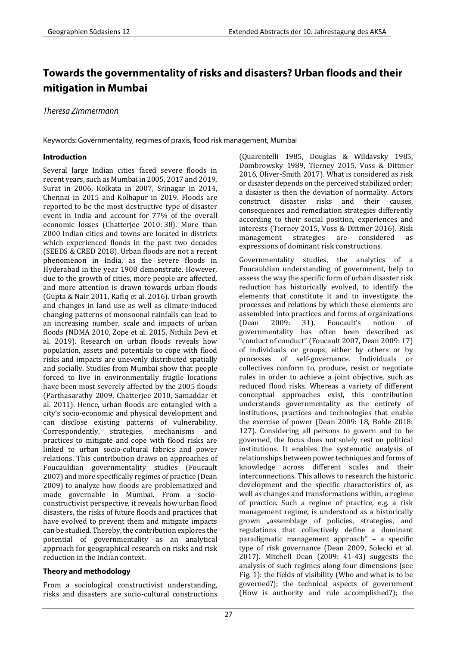# Towards the governmentality of risks and disasters? Urban floods and their mitigation in Mumbai

Theresa Zimmermann

Keywords: Governmentality, regimes of praxis, flood risk management, Mumbai

### **Introduction**

Several large Indian cities faced severe floods in recent years, such as Mumbai in 2005, 2017 and 2019, Surat in 2006, Kolkata in 2007, Srinagar in 2014, Chennai in 2015 and Kolhapur in 2019. Floods are reported to be the most destructive type of disaster event in India and account for 77% of the overall economic losses (Chatterjee 2010: 38). More than 2000 Indian cities and towns are located in districts which experienced floods in the past two decades (SEEDS & CRED 2018). Urban floods are not a recent phenomenon in India, as the severe floods in Hyderabad in the year 1908 demonstrate. However, due to the growth of cities, more people are affected, and more attention is drawn towards urban floods (Gupta & Nair 2011, Rafiq et al. 2016). Urban growth and changes in land use as well as climate-induced changing patterns of monsoonal rainfalls can lead to an increasing number, scale and impacts of urban floods (NDMA 2010, Zope et al. 2015, Nithila Devi et al. 2019). Research on urban floods reveals how population, assets and potentials to cope with flood risks and impacts are unevenly distributed spatially and socially. Studies from Mumbai show that people forced to live in environmentally fragile locations have been most severely affected by the 2005 floods (Parthasarathy 2009, Chatterjee 2010, Samaddar et al. 2011). Hence, urban floods are entangled with a city's socio-economic and physical development and can disclose existing patterns of vulnerability. Correspondently, strategies, mechanisms and practices to mitigate and cope with flood risks are linked to urban socio-cultural fabrics and power relations. This contribution draws on approaches of Foucauldian governmentality studies (Foucault 2007) and more specifically regimes of practice (Dean 2009) to analyze how floods are problematized and made governable in Mumbai. From a socioconstructivist perspective, it reveals how urban flood disasters, the risks of future floods and practices that have evolved to prevent them and mitigate impacts can be studied. Thereby, the contribution explores the potential of governmentality as an analytical approach for geographical research on risks and risk reduction in the Indian context.

# Theory and methodology

From a sociological constructivist understanding, risks and disasters are socio-cultural constructions (Quarentelli 1985, Douglas & Wildavsky 1985, Dombrowsky 1989, Tierney 2015, Voss & Dittmer 2016, Oliver-Smith 2017). What is considered as risk or disaster depends on the perceived stabilized order; a disaster is then the deviation of normality. Actors construct disaster risks and their causes, consequences and remediation strategies differently according to their social position, experiences and interests (Tierney 2015, Voss & Dittmer 2016). Risk management strategies are considered as expressions of dominant risk constructions.

Governmentality studies, the analytics of a Foucauldian understanding of government, help to assess the way the specific form of urban disaster risk reduction has historically evolved, to identify the elements that constitute it and to investigate the processes and relations by which these elements are assembled into practices and forms of organizations (Dean 2009: 31). Foucault's notion of governmentality has often been described as "conduct of conduct" (Foucault 2007, Dean 2009: 17) of individuals or groups, either by others or by processes of self-governance. Individuals or collectives conform to, produce, resist or negotiate rules in order to achieve a joint objective, such as reduced flood risks. Whereas a variety of different conceptual approaches exist, this contribution understands governmentality as the entirety of institutions, practices and technologies that enable the exercise of power (Dean 2009: 18, Bohle 2018: 127). Considering all persons to govern and to be governed, the focus does not solely rest on political institutions. It enables the systematic analysis of relationships between power techniques and forms of knowledge across different scales and their interconnections. This allows to research the historic development and the specific characteristics of, as well as changes and transformations within, a regime of practice. Such a regime of practice, e.g. a risk management regime, is understood as a historically grown "assemblage of policies, strategies, and regulations that collectively define a dominant paradigmatic management approach" – a specific type of risk governance (Dean 2009, Solecki et al. 2017). Mitchell Dean (2009: 41-43) suggests the analysis of such regimes along four dimensions (see Fig. 1): the fields of visibility (Who and what is to be governed?); the technical aspects of government (How is authority and rule accomplished?); the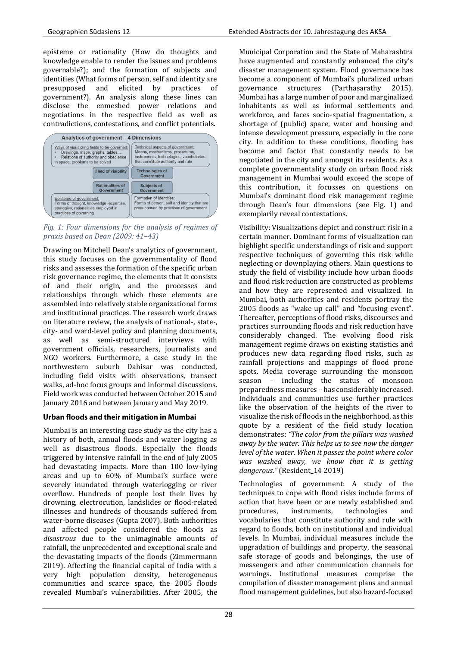episteme or rationality (How do thoughts and knowledge enable to render the issues and problems governable?); and the formation of subjects and identities (What forms of person, self and identity are presupposed and elicited by practices of government?). An analysis along these lines can disclose the enmeshed power relations and negotiations in the respective field as well as contradictions, contestations, and conflict potentials.



*Fig. 1: Four dimensions for the analysis of regimes of praxis based on Dean (2009: 41–43)*

Drawing on Mitchell Dean's analytics of government, this study focuses on the governmentality of flood risks and assesses the formation of the specific urban risk governance regime, the elements that it consists of and their origin, and the processes and relationships through which these elements are assembled into relatively stable organizational forms and institutional practices. The research work draws on literature review, the analysis of national-, state-, city- and ward-level policy and planning documents, as well as semi-structured interviews with government officials, researchers, journalists and NGO workers. Furthermore, a case study in the northwestern suburb Dahisar was conducted, including field visits with observations, transect walks, ad-hoc focus groups and informal discussions. Field work was conducted between October 2015 and January 2016 and between January and May 2019.

# Urban floods and their mitigation in Mumbai

Mumbai is an interesting case study as the city has a history of both, annual floods and water logging as well as disastrous floods. Especially the floods triggered by intensive rainfall in the end of July 2005 had devastating impacts. More than 100 low-lying areas and up to 60% of Mumbai's surface were severely inundated through waterlogging or river overflow. Hundreds of people lost their lives by drowning, electrocution, landslides or flood-related illnesses and hundreds of thousands suffered from water-borne diseases (Gupta 2007). Both authorities and affected people considered the floods as *disastrous* due to the unimaginable amounts of rainfall, the unprecedented and exceptional scale and the devastating impacts of the floods (Zimmermann 2019). Affecting the financial capital of India with a very high population density, heterogeneous communities and scarce space, the 2005 floods revealed Mumbai's vulnerabilities. After 2005, the Municipal Corporation and the State of Maharashtra have augmented and constantly enhanced the city's disaster management system. Flood governance has become a component of Mumbai's pluralized urban governance structures (Parthasarathy 2015). Mumbai has a large number of poor and marginalized inhabitants as well as informal settlements and workforce, and faces socio-spatial fragmentation, a shortage of (public) space, water and housing and intense development pressure, especially in the core city. In addition to these conditions, flooding has become and factor that constantly needs to be negotiated in the city and amongst its residents. As a complete governmentality study on urban flood risk management in Mumbai would exceed the scope of this contribution, it focusses on questions on Mumbai's dominant flood risk management regime through Dean's four dimensions (see Fig. 1) and exemplarily reveal contestations.

Visibility: Visualizations depict and construct risk in a certain manner. Dominant forms of visualization can highlight specific understandings of risk and support respective techniques of governing this risk while neglecting or downplaying others. Main questions to study the field of visibility include how urban floods and flood risk reduction are constructed as problems and how they are represented and visualized. In Mumbai, both authorities and residents portray the 2005 floods as "wake up call" and "focusing event". Thereafter, perceptions of flood risks, discourses and practices surrounding floods and risk reduction have considerably changed. The evolving flood risk management regime draws on existing statistics and produces new data regarding flood risks, such as rainfall projections and mappings of flood prone spots. Media coverage surrounding the monsoon season – including the status of monsoon preparedness measures – has considerably increased. Individuals and communities use further practices like the observation of the heights of the river to visualize the risk of floods in the neighborhood, as this quote by a resident of the field study location demonstrates: *"The color from the pillars was washed away by the water. This helps us to see now the danger level of the water. When it passes the point where color was washed away, we know that it is getting dangerous."* (Resident\_14 2019)

Technologies of government: A study of the techniques to cope with flood risks include forms of action that have been or are newly established and procedures, instruments, technologies and vocabularies that constitute authority and rule with regard to floods, both on institutional and individual levels. In Mumbai, individual measures include the upgradation of buildings and property, the seasonal safe storage of goods and belongings, the use of messengers and other communication channels for warnings. Institutional measures comprise the compilation of disaster management plans and annual flood management guidelines, but also hazard-focused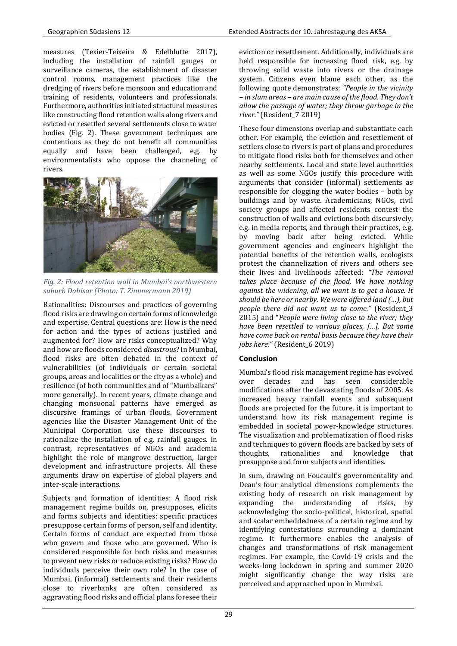measures (Texier-Teixeira & Edelblutte 2017), including the installation of rainfall gauges or surveillance cameras, the establishment of disaster control rooms, management practices like the dredging of rivers before monsoon and education and training of residents, volunteers and professionals. Furthermore, authorities initiated structural measures like constructing flood retention walls along rivers and evicted or resettled several settlements close to water bodies (Fig. 2). These government techniques are contentious as they do not benefit all communities equally and have been challenged, e.g. by environmentalists who oppose the channeling of rivers.



*Fig. 2: Flood retention wall in Mumbai's northwestern suburb Dahisar (Photo: T. Zimmermann 2019)*

Rationalities: Discourses and practices of governing flood risks are drawing on certain forms of knowledge and expertise. Central questions are: How is the need for action and the types of actions justified and augmented for? How are risks conceptualized? Why and how are floods considered *disastrous*? In Mumbai, flood risks are often debated in the context of vulnerabilities (of individuals or certain societal groups, areas and localities or the city as a whole) and resilience (of both communities and of "Mumbaikars" more generally). In recent years, climate change and changing monsoonal patterns have emerged as discursive framings of urban floods. Government agencies like the Disaster Management Unit of the Municipal Corporation use these discourses to rationalize the installation of e.g. rainfall gauges. In contrast, representatives of NGOs and academia highlight the role of mangrove destruction, larger development and infrastructure projects. All these arguments draw on expertise of global players and inter-scale interactions.

Subjects and formation of identities: A flood risk management regime builds on, presupposes, elicits and forms subjects and identities: specific practices presuppose certain forms of person, self and identity. Certain forms of conduct are expected from those who govern and those who are governed. Who is considered responsible for both risks and measures to prevent new risks or reduce existing risks? How do individuals perceive their own role? In the case of Mumbai, (informal) settlements and their residents close to riverbanks are often considered as aggravating flood risks and official plans foresee their eviction or resettlement. Additionally, individuals are held responsible for increasing flood risk, e.g. by throwing solid waste into rivers or the drainage system. Citizens even blame each other, as the following quote demonstrates: *"People in the vicinity – in slum areas – are main cause of the flood. They don't allow the passage of water; they throw garbage in the river."* (Resident\_7 2019)

These four dimensions overlap and substantiate each other. For example, the eviction and resettlement of settlers close to rivers is part of plans and procedures to mitigate flood risks both for themselves and other nearby settlements. Local and state level authorities as well as some NGOs justify this procedure with arguments that consider (informal) settlements as responsible for clogging the water bodies – both by buildings and by waste. Academicians, NGOs, civil society groups and affected residents contest the construction of walls and evictions both discursively, e.g. in media reports, and through their practices, e.g. by moving back after being evicted. While government agencies and engineers highlight the potential benefits of the retention walls, ecologists protest the channelization of rivers and others see their lives and livelihoods affected: *"The removal takes place because of the flood. We have nothing against the widening, all we want is to get a house. It should be here or nearby. We were offered land (…), but people there did not want us to come."* (Resident\_3 2015) and "*People were living close to the river; they have been resettled to various places, […]. But some have come back on rental basis because they have their jobs here."* (Resident\_6 2019)

#### **Conclusion**

Mumbai's flood risk management regime has evolved over decades and has seen considerable modifications after the devastating floods of 2005. As increased heavy rainfall events and subsequent floods are projected for the future, it is important to understand how its risk management regime is embedded in societal power-knowledge structures. The visualization and problematization of flood risks and techniques to govern floods are backed by sets of thoughts, rationalities and knowledge that presuppose and form subjects and identities.

In sum, drawing on Foucault's governmentality and Dean's four analytical dimensions complements the existing body of research on risk management by expanding the understanding of risks, by acknowledging the socio-political, historical, spatial and scalar embeddedness of a certain regime and by identifying contestations surrounding a dominant regime. It furthermore enables the analysis of changes and transformations of risk management regimes. For example, the Covid-19 crisis and the weeks-long lockdown in spring and summer 2020 might significantly change the way risks are perceived and approached upon in Mumbai.